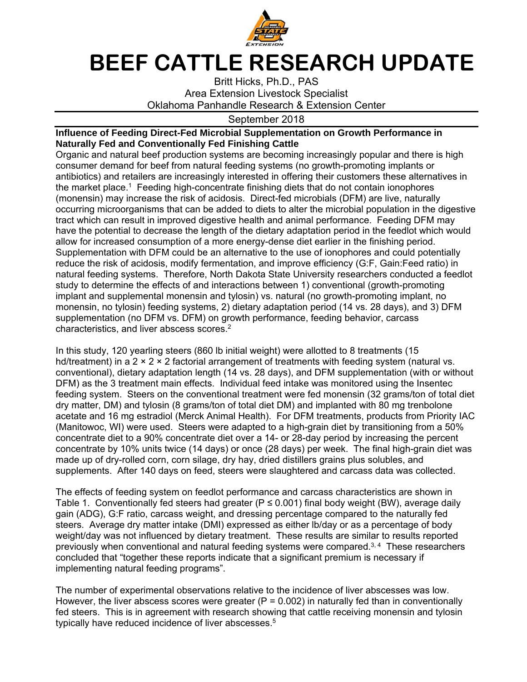

## **BEEF CATTLE RESEARCH UPDATE**

Britt Hicks, Ph.D., PAS Area Extension Livestock Specialist Oklahoma Panhandle Research & Extension Center

## September 2018

## **Influence of Feeding Direct-Fed Microbial Supplementation on Growth Performance in Naturally Fed and Conventionally Fed Finishing Cattle**

Organic and natural beef production systems are becoming increasingly popular and there is high consumer demand for beef from natural feeding systems (no growth-promoting implants or antibiotics) and retailers are increasingly interested in offering their customers these alternatives in the market place.1 Feeding high-concentrate finishing diets that do not contain ionophores (monensin) may increase the risk of acidosis. Direct-fed microbials (DFM) are live, naturally occurring microorganisms that can be added to diets to alter the microbial population in the digestive tract which can result in improved digestive health and animal performance. Feeding DFM may have the potential to decrease the length of the dietary adaptation period in the feedlot which would allow for increased consumption of a more energy-dense diet earlier in the finishing period. Supplementation with DFM could be an alternative to the use of ionophores and could potentially reduce the risk of acidosis, modify fermentation, and improve efficiency (G:F, Gain:Feed ratio) in natural feeding systems. Therefore, North Dakota State University researchers conducted a feedlot study to determine the effects of and interactions between 1) conventional (growth-promoting implant and supplemental monensin and tylosin) vs. natural (no growth-promoting implant, no monensin, no tylosin) feeding systems, 2) dietary adaptation period (14 vs. 28 days), and 3) DFM supplementation (no DFM vs. DFM) on growth performance, feeding behavior, carcass characteristics, and liver abscess scores.<sup>2</sup>

In this study, 120 yearling steers (860 lb initial weight) were allotted to 8 treatments (15 hd/treatment) in a  $2 \times 2 \times 2$  factorial arrangement of treatments with feeding system (natural vs. conventional), dietary adaptation length (14 vs. 28 days), and DFM supplementation (with or without DFM) as the 3 treatment main effects. Individual feed intake was monitored using the Insentec feeding system. Steers on the conventional treatment were fed monensin (32 grams/ton of total diet dry matter, DM) and tylosin (8 grams/ton of total diet DM) and implanted with 80 mg trenbolone acetate and 16 mg estradiol (Merck Animal Health). For DFM treatments, products from Priority IAC (Manitowoc, WI) were used. Steers were adapted to a high-grain diet by transitioning from a 50% concentrate diet to a 90% concentrate diet over a 14- or 28-day period by increasing the percent concentrate by 10% units twice (14 days) or once (28 days) per week. The final high-grain diet was made up of dry-rolled corn, corn silage, dry hay, dried distillers grains plus solubles, and supplements. After 140 days on feed, steers were slaughtered and carcass data was collected.

The effects of feeding system on feedlot performance and carcass characteristics are shown in Table 1. Conventionally fed steers had greater ( $P \le 0.001$ ) final body weight (BW), average daily gain (ADG), G:F ratio, carcass weight, and dressing percentage compared to the naturally fed steers. Average dry matter intake (DMI) expressed as either lb/day or as a percentage of body weight/day was not influenced by dietary treatment. These results are similar to results reported previously when conventional and natural feeding systems were compared. $3,4$  These researchers concluded that "together these reports indicate that a significant premium is necessary if implementing natural feeding programs".

The number of experimental observations relative to the incidence of liver abscesses was low. However, the liver abscess scores were greater ( $P = 0.002$ ) in naturally fed than in conventionally fed steers. This is in agreement with research showing that cattle receiving monensin and tylosin typically have reduced incidence of liver abscesses.<sup>5</sup>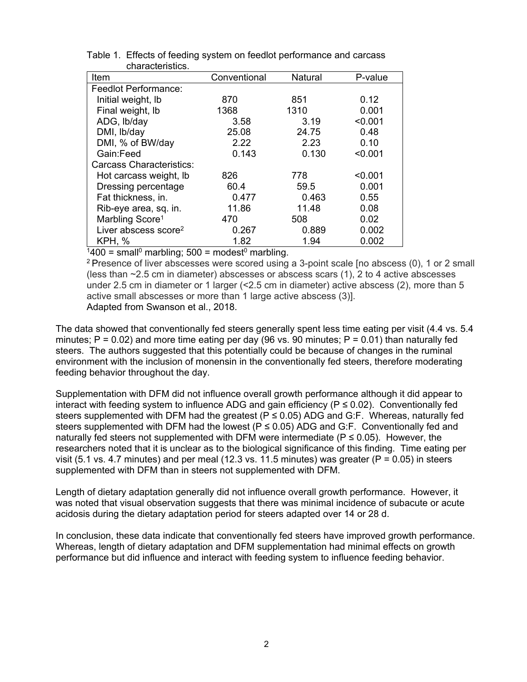| Item                             | Conventional | <b>Natural</b> | P-value |
|----------------------------------|--------------|----------------|---------|
| Feedlot Performance:             |              |                |         |
| Initial weight, Ib               | 870          | 851            | 0.12    |
| Final weight, Ib                 | 1368         | 1310           | 0.001   |
| ADG, Ib/day                      | 3.58         | 3.19           | < 0.001 |
| DMI, Ib/day                      | 25.08        | 24.75          | 0.48    |
| DMI, % of BW/day                 | 2.22         | 2.23           | 0.10    |
| Gain:Feed                        | 0.143        | 0.130          | < 0.001 |
| <b>Carcass Characteristics:</b>  |              |                |         |
| Hot carcass weight, Ib           | 826          | 778            | < 0.001 |
| Dressing percentage              | 60.4         | 59.5           | 0.001   |
| Fat thickness, in.               | 0.477        | 0.463          | 0.55    |
| Rib-eye area, sq. in.            | 11.86        | 11.48          | 0.08    |
| Marbling Score <sup>1</sup>      | 470          | 508            | 0.02    |
| Liver abscess score <sup>2</sup> | 0.267        | 0.889          | 0.002   |
| <b>KPH, %</b>                    | 1.82         | 1.94           | 0.002   |

| Table 1. Effects of feeding system on feedlot performance and carcass |
|-----------------------------------------------------------------------|
| characteristics.                                                      |

 $1400 =$  small<sup>o</sup> marbling: 500 = modest<sup>o</sup> marbling.

2 Presence of liver abscesses were scored using a 3-point scale [no abscess (0), 1 or 2 small (less than ~2.5 cm in diameter) abscesses or abscess scars (1), 2 to 4 active abscesses under 2.5 cm in diameter or 1 larger (<2.5 cm in diameter) active abscess (2), more than 5 active small abscesses or more than 1 large active abscess (3)]. Adapted from Swanson et al., 2018.

The data showed that conventionally fed steers generally spent less time eating per visit (4.4 vs. 5.4 minutes;  $P = 0.02$ ) and more time eating per day (96 vs. 90 minutes;  $P = 0.01$ ) than naturally fed steers. The authors suggested that this potentially could be because of changes in the ruminal environment with the inclusion of monensin in the conventionally fed steers, therefore moderating feeding behavior throughout the day.

Supplementation with DFM did not influence overall growth performance although it did appear to interact with feeding system to influence ADG and gain efficiency ( $P \le 0.02$ ). Conventionally fed steers supplemented with DFM had the greatest ( $P \le 0.05$ ) ADG and G:F. Whereas, naturally fed steers supplemented with DFM had the lowest ( $P \le 0.05$ ) ADG and G:F. Conventionally fed and naturally fed steers not supplemented with DFM were intermediate ( $P \le 0.05$ ). However, the researchers noted that it is unclear as to the biological significance of this finding. Time eating per visit (5.1 vs. 4.7 minutes) and per meal (12.3 vs. 11.5 minutes) was greater ( $P = 0.05$ ) in steers supplemented with DFM than in steers not supplemented with DFM.

Length of dietary adaptation generally did not influence overall growth performance. However, it was noted that visual observation suggests that there was minimal incidence of subacute or acute acidosis during the dietary adaptation period for steers adapted over 14 or 28 d.

In conclusion, these data indicate that conventionally fed steers have improved growth performance. Whereas, length of dietary adaptation and DFM supplementation had minimal effects on growth performance but did influence and interact with feeding system to influence feeding behavior.